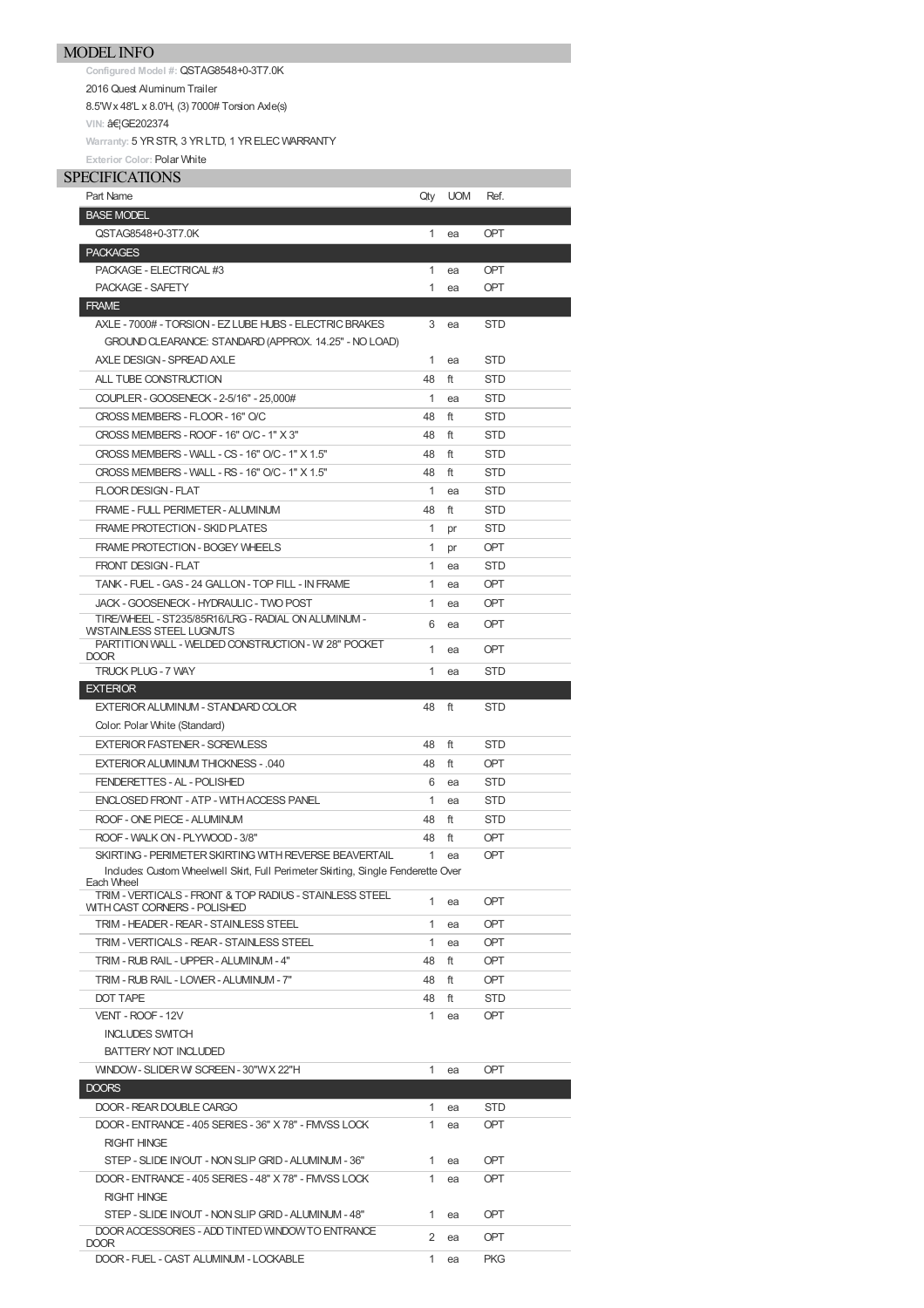**Configured Model #:** QSTAG8548+0-3T7.0K 2016 Quest Aluminum Trailer 8.5'Wx 48'L x 8.0'H, (3) 7000# Torsion Axle(s) **VIN: …GE202374** 

**Warranty:** 5 YRSTR, 3 YRLTD, 1 YRELECWARRANTY **Exterior Color:** Polar White

## SPECIFICATIONS

| SPECIFICATIONS                                                                                          |              |            |            |
|---------------------------------------------------------------------------------------------------------|--------------|------------|------------|
| Part Name                                                                                               | Qty          | <b>UOM</b> | Ref.       |
| <b>BASE MODEL</b>                                                                                       |              |            |            |
| QSTAG8548+0-3T7.0K                                                                                      | 1            | ea         | OPT        |
| <b>PACKAGES</b>                                                                                         |              |            |            |
| PACKAGE - ELECTRICAL #3                                                                                 | 1            | ea         | <b>OPT</b> |
| PACKAGE - SAFETY                                                                                        | 1            | ea         | OPT        |
| <b>FRAME</b>                                                                                            |              |            |            |
| AXLE - 7000# - TORSION - EZ LUBE HUBS - ELECTRIC BRAKES                                                 | 3            | ea         | <b>STD</b> |
| GROUND CLEARANCE: STANDARD (APPROX. 14.25" - NO LOAD)                                                   |              |            |            |
| AXLE DESIGN - SPREAD AXLE                                                                               | 1            | ea         | STD        |
| ALL TUBE CONSTRUCTION                                                                                   | 48           | ft         | <b>STD</b> |
| COUPLER - GOOSENECK - 2-5/16" - 25,000#                                                                 | 1            | ea         | STD        |
| CROSS MEMBERS - FLOOR - 16" O/C                                                                         | 48           | ft         | STD        |
| CROSS MEMBERS - ROOF - 16" O/C - 1" X 3"                                                                | 48           | ft         | <b>STD</b> |
| CROSS MEMBERS - WALL - CS - 16" O/C - 1" X 1.5"                                                         | 48           | ft         | <b>STD</b> |
| CROSS MEMBERS - WALL - RS - 16" O/C - 1" X 1.5"                                                         | 48           | ft         | <b>STD</b> |
| <b>FLOOR DESIGN - FLAT</b>                                                                              | 1            | ea         | <b>STD</b> |
| FRAME - FULL PERIMETER - ALUMINUM                                                                       | 48           | ft         | <b>STD</b> |
| FRAME PROTECTION - SKID PLATES                                                                          | $\mathbf{1}$ | pr         | STD        |
| FRAME PROTECTION - BOGEY WHEELS                                                                         | 1            | pr         | <b>OPT</b> |
| FRONT DESIGN - FLAT                                                                                     | 1            | ea         | <b>STD</b> |
| TANK - FUEL - GAS - 24 GALLON - TOP FILL - IN FRAME                                                     | 1            | ea         | <b>OPT</b> |
| JACK - GOOSENECK - HYDRAULIC - TWO POST                                                                 | 1            | ea         | <b>OPT</b> |
| TIRE/WHEEL - ST235/85R16/LRG - RADIAL ON ALUMINUM -                                                     |              |            |            |
| WISTAINLESS STEEL LUGNUTS                                                                               | 6            | ea         | <b>OPT</b> |
| PARTITION WALL - WELDED CONSTRUCTION - W 28" POCKET<br>DOOR                                             | $\mathbf{1}$ | ea         | <b>OPT</b> |
| TRUCK PLUG - 7 WAY                                                                                      | 1            | ea         | STD        |
| <b>EXTERIOR</b>                                                                                         |              |            |            |
| EXTERIOR ALUMINUM - STANDARD COLOR                                                                      | 48           | ft         | <b>STD</b> |
| Color: Polar White (Standard)                                                                           |              |            |            |
| <b>EXTERIOR FASTENER - SCREWLESS</b>                                                                    | 48           | ft         | <b>STD</b> |
| EXTERIOR ALUMINUM THICKNESS - .040                                                                      | 48           | ft         | <b>OPT</b> |
| FENDERETTES - AL - POLISHED                                                                             | 6            | ea         | <b>STD</b> |
| ENCLOSED FRONT - ATP - WITH ACCESS PANEL                                                                | 1            | ea         | <b>STD</b> |
| ROOF - ONE PIECE - ALUMINUM                                                                             | 48           | ft         | <b>STD</b> |
| ROOF - WALK ON - PLYWOOD - 3/8"                                                                         | 48           | ft         | <b>OPT</b> |
| SKIRTING - PERIMETER SKIRTING WITH REVERSE BEAVERTAIL                                                   | 1            | ea         | OPT        |
| Includes: Custom Wheelwell Skirt, Full Perimeter Skirting, Single Fenderette Over                       |              |            |            |
| Each Wheel                                                                                              |              |            |            |
| TRIM - VERTICALS - FRONT & TOP RADIUS - STAINLESS STEEL<br>WITH CAST CORNERS - POLISHED                 | $\mathbf{1}$ | ea         | OPT        |
| TRIM - HEADER - REAR - STAINLESS STEEL                                                                  | 1            | ea         | <b>OPT</b> |
| TRIM - VERTICALS - REAR - STAINLESS STEEL                                                               | 1            | ea         | <b>OPT</b> |
| TRIM - RUB RAIL - UPPER - ALUMINUM - 4"                                                                 | 48           | ft         | <b>OPT</b> |
| TRIM - RUB RAIL - LOWER - ALUMINUM - 7"                                                                 | 48           | ft         | <b>OPT</b> |
| DOT TAPE                                                                                                | 48           | ft         | STD        |
| VENT - ROOF - 12V                                                                                       | 1            | ea         | <b>OPT</b> |
| <b>INCLUDES SWITCH</b>                                                                                  |              |            |            |
| <b>BATTERY NOT INCLUDED</b>                                                                             |              |            |            |
| WINDOW - SLIDER W SCREEN - 30"WX 22"H                                                                   | 1            | ea         | <b>OPT</b> |
| DOORS                                                                                                   |              |            |            |
| DOOR - REAR DOUBLE CARGO                                                                                | $\mathbf{1}$ | ea         | <b>STD</b> |
| DOOR - ENTRANCE - 405 SERIES - 36" X 78" - FMVSS LOCK                                                   | 1            | ea         | OPT.       |
| <b>RIGHT HINGE</b>                                                                                      |              |            |            |
| STEP - SLIDE INOUT - NON SLIP GRID - ALUMINUM - 36"                                                     | 1            | ea         | <b>OPT</b> |
|                                                                                                         |              |            |            |
| DOOR - ENTRANCE - 405 SERIES - 48" X 78" - FMVSS LOCK<br><b>RIGHT HINGE</b>                             | 1            | ea         | <b>OPT</b> |
|                                                                                                         |              |            |            |
| STEP - SLIDE INOUT - NON SLIP GRID - ALUMINUM - 48"<br>DOOR ACCESSORIES - ADD TINTED WINDOW TO ENTRANCE | 1            | ea         | <b>OPT</b> |
| DOOR                                                                                                    | 2            | ea         | <b>OPT</b> |
| DOOR - FUEL - CAST ALUMINUM - LOCKABLE                                                                  | 1            | ea         | <b>PKG</b> |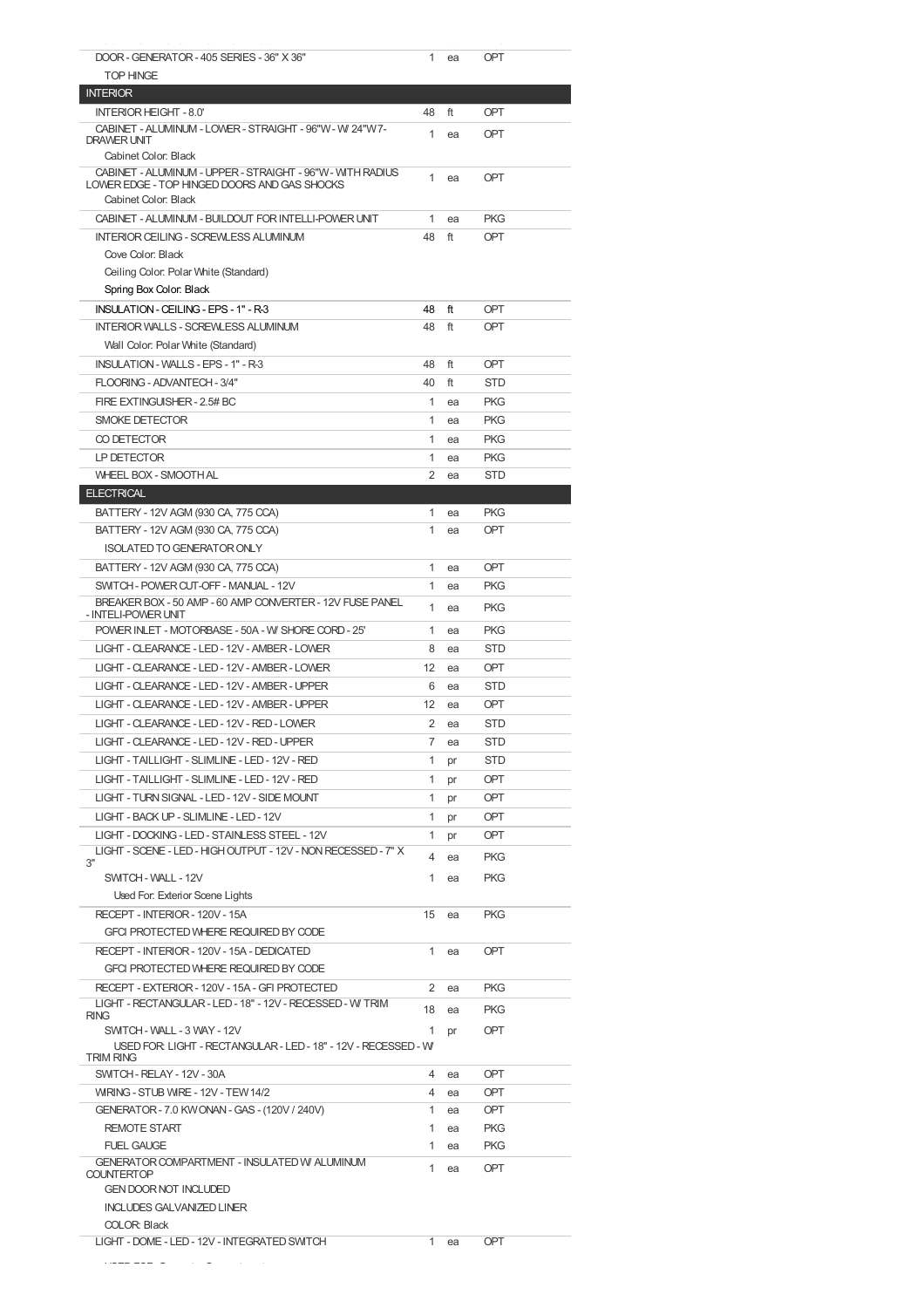| DOOR - GENERATOR - 405 SERIES - 36" X 36"                                                     | 1            | ea | OPT        |
|-----------------------------------------------------------------------------------------------|--------------|----|------------|
| <b>TOP HINGE</b>                                                                              |              |    |            |
| <b>INTERIOR</b>                                                                               |              |    |            |
| INTERIOR HEIGHT - 8.0'                                                                        | 48           | ft | OPT        |
| CABINET - ALUMINUM - LOWER - STRAIGHT - 96"W - W 24"W7-                                       |              |    |            |
| DRAWER UNIT                                                                                   | 1            | ea | OPT        |
| Cabinet Color: Black                                                                          |              |    |            |
| CABINET - ALUMINUM - UPPER - STRAIGHT - 96"W - WITH RADIUS                                    | 1            | ea | OPT        |
| LOWER EDGE - TOP HINGED DOORS AND GAS SHOCKS                                                  |              |    |            |
| Cabinet Color: Black                                                                          |              |    |            |
| CABINET - ALUMINUM - BUILDOUT FOR INTELLI-POWER UNIT                                          | $\mathbf{1}$ | ea | <b>PKG</b> |
| <b>INTERIOR CEILING - SCREWLESS ALUMINUM</b>                                                  | 48           | ft | OPT        |
| Cove Color: Black                                                                             |              |    |            |
| Ceiling Color: Polar White (Standard)                                                         |              |    |            |
| Spring Box Color: Black                                                                       |              |    |            |
| INSULATION - CEILING - EPS - 1" - R-3                                                         | 48           | ft | OPT        |
| <b>INTERIOR WALLS - SCREWLESS ALUMINUM</b>                                                    | 48           | ft | OPT        |
| Wall Color: Polar White (Standard)                                                            |              |    |            |
| <b>INSULATION - WALLS - EPS - 1" - R-3</b>                                                    | 48           | ft | OPT        |
|                                                                                               |              |    |            |
| FLOORING - ADVANTECH - 3/4"                                                                   | 40           | ft | <b>STD</b> |
| FIRE EXTINGUISHER - 2.5# BC                                                                   | 1            | ea | <b>PKG</b> |
| <b>SMOKE DETECTOR</b>                                                                         | 1            | ea | <b>PKG</b> |
| CO DETECTOR                                                                                   | 1            | ea | <b>PKG</b> |
| LP DETECTOR                                                                                   | 1            | ea | <b>PKG</b> |
| <b>WHEEL BOX - SMOOTH AL</b>                                                                  | 2            | ea | <b>STD</b> |
| <b>ELECTRICAL</b>                                                                             |              |    |            |
| BATTERY - 12V AGM (930 CA, 775 CCA)                                                           | 1            | ea | <b>PKG</b> |
| BATTERY - 12V AGM (930 CA, 775 CCA)                                                           | 1            | ea | <b>OPT</b> |
|                                                                                               |              |    |            |
| <b>ISOLATED TO GENERATOR ONLY</b>                                                             |              |    |            |
| BATTERY - 12V AGM (930 CA, 775 CCA)                                                           | 1            | ea | OPT        |
| SWITCH - POWER CUT-OFF - MANUAL - 12V                                                         | 1            | ea | <b>PKG</b> |
| BREAKER BOX - 50 AMP - 60 AMP CONVERTER - 12V FUSE PANEL                                      | 1            | ea | <b>PKG</b> |
| - INTELI-POWER UNIT                                                                           | 1            |    | <b>PKG</b> |
| POWER INLET - MOTORBASE - 50A - W SHORE CORD - 25'                                            |              | ea |            |
| LIGHT - CLEARANCE - LED - 12V - AMBER - LOWER                                                 | 8            | ea | <b>STD</b> |
| LIGHT - CLEARANCE - LED - 12V - AMBER - LOWER                                                 | 12           | ea | OPT        |
| LIGHT - CLEARANCE - LED - 12V - AMBER - UPPER                                                 | 6            | ea | <b>STD</b> |
| LIGHT - CLEARANCE - LED - 12V - AMBER - UPPER                                                 | 12           | ea | OPT        |
| LIGHT - CLEARANCE - LED - 12V - RED - LOWER                                                   | 2            | ea | <b>STD</b> |
| LIGHT - CLEARANCE - LED - 12V - RED - UPPER                                                   | 7            | ea | <b>STD</b> |
| LIGHT - TAILLIGHT - SLIMLINE - LED - 12V - RED                                                | 1            | pr | <b>STD</b> |
| LIGHT - TAILLIGHT - SLIMLINE - LED - 12V - RED                                                | 1            |    | <b>OPT</b> |
|                                                                                               |              | pr |            |
| LIGHT - TURN SIGNAL - LED - 12V - SIDE MOUNT                                                  | 1            | pr | OPT        |
| LIGHT - BACK UP - SLIMLINE - LED - 12V                                                        | 1            | pr | OPT        |
| LIGHT - DOCKING - LED - STAINLESS STEEL - 12V                                                 | 1            | pr | OPT        |
| LIGHT - SCENE - LED - HIGH OUTPUT - 12V - NON RECESSED - 7" X<br>3"                           | 4            | ea | <b>PKG</b> |
| SWITCH - WALL - 12V                                                                           | 1            | ea | <b>PKG</b> |
| Used For: Exterior Scene Lights                                                               |              |    |            |
|                                                                                               |              |    |            |
| RECEPT - INTERIOR - 120V - 15A                                                                | 15           | ea | <b>PKG</b> |
| GFCI PROTECTED WHERE REQUIRED BY CODE                                                         |              |    |            |
| RECEPT - INTERIOR - 120V - 15A - DEDICATED                                                    | 1            | ea | OPT        |
| GFCI PROTECTED WHERE REQUIRED BY CODE                                                         |              |    |            |
| RECEPT - EXTERIOR - 120V - 15A - GFI PROTECTED                                                | 2            | ea | <b>PKG</b> |
| LIGHT - RECTANGULAR - LED - 18" - 12V - RECESSED - W TRIM                                     | 18           | ea | <b>PKG</b> |
| <b>RING</b>                                                                                   | 1            |    |            |
| SWITCH - WALL - 3 WAY - 12V<br>USED FOR: LIGHT - RECTANGULAR - LED - 18" - 12V - RECESSED - W |              | pr | OPT        |
| <b>TRIM RING</b>                                                                              |              |    |            |
| SWITCH - RELAY - 12V - 30A                                                                    | 4            | ea | <b>OPT</b> |
| WRING - STUB WRE - 12V - TEW 14/2                                                             | 4            | ea | <b>OPT</b> |
| GENERATOR - 7.0 KW ONAN - GAS - (120V / 240V)                                                 | 1            | ea | <b>OPT</b> |
| <b>REMOTE START</b>                                                                           |              |    | <b>PKG</b> |
|                                                                                               | 1            |    |            |
|                                                                                               |              | ea |            |
| <b>FUEL GAUGE</b>                                                                             | 1            | ea | <b>PKG</b> |
| GENERATOR COMPARTMENT - INSULATED W ALUMINUM<br><b>COUNTERTOP</b>                             | 1            | ea | <b>OPT</b> |
| <b>GEN DOOR NOT INCLUDED</b>                                                                  |              |    |            |
| <b>INCLUDES GALVANIZED LINER</b>                                                              |              |    |            |
| <b>COLOR: Black</b>                                                                           |              |    |            |
| LIGHT - DOME - LED - 12V - INTEGRATED SWITCH                                                  | 1            | ea | <b>OPT</b> |
|                                                                                               |              |    |            |